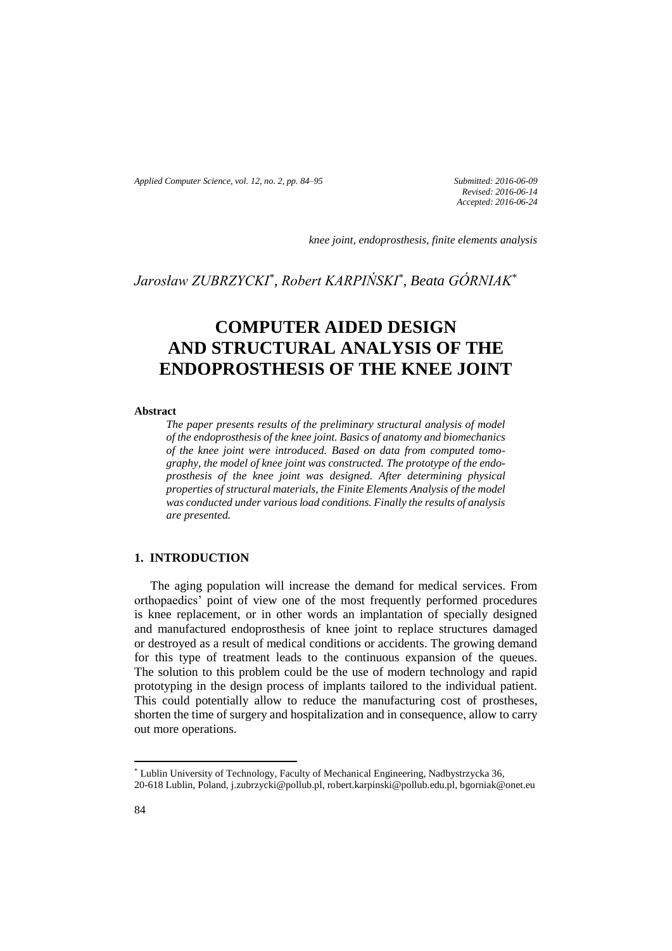*Applied Computer Science, vol. 12, no. 2, pp. 84–95 Submitted: 2016-06-09*

*Revised: 2016-06-14 Accepted: 2016-06-24*

*knee joint, endoprosthesis, finite elements analysis*

*Jarosław ZUBRZYCKI\* , Robert KARPIŃSKI\* , Beata GÓRNIAK\**

# **COMPUTER AIDED DESIGN AND STRUCTURAL ANALYSIS OF THE ENDOPROSTHESIS OF THE KNEE JOINT**

#### **Abstract**

*The paper presents results of the preliminary structural analysis of model of the endoprosthesis of the knee joint. Basics of anatomy and biomechanics of the knee joint were introduced. Based on data from computed tomography, the model of knee joint was constructed. The prototype of the endoprosthesis of the knee joint was designed. After determining physical properties of structural materials, the Finite Elements Analysis of the model was conducted under various load conditions. Finally the results of analysis are presented.*

## **1. INTRODUCTION**

The aging population will increase the demand for medical services. From orthopaedics' point of view one of the most frequently performed procedures is knee replacement, or in other words an implantation of specially designed and manufactured endoprosthesis of knee joint to replace structures damaged or destroyed as a result of medical conditions or accidents. The growing demand for this type of treatment leads to the continuous expansion of the queues. The solution to this problem could be the use of modern technology and rapid prototyping in the design process of implants tailored to the individual patient. This could potentially allow to reduce the manufacturing cost of prostheses, shorten the time of surgery and hospitalization and in consequence, allow to carry out more operations.

 $\overline{\phantom{a}}$ 

<sup>\*</sup> Lublin University of Technology, Faculty of Mechanical Engineering, Nadbystrzycka 36, 20-618 Lublin, Poland, j.zubrzycki@pollub.pl, robert.karpinski@pollub.edu.pl, bgorniak@onet.eu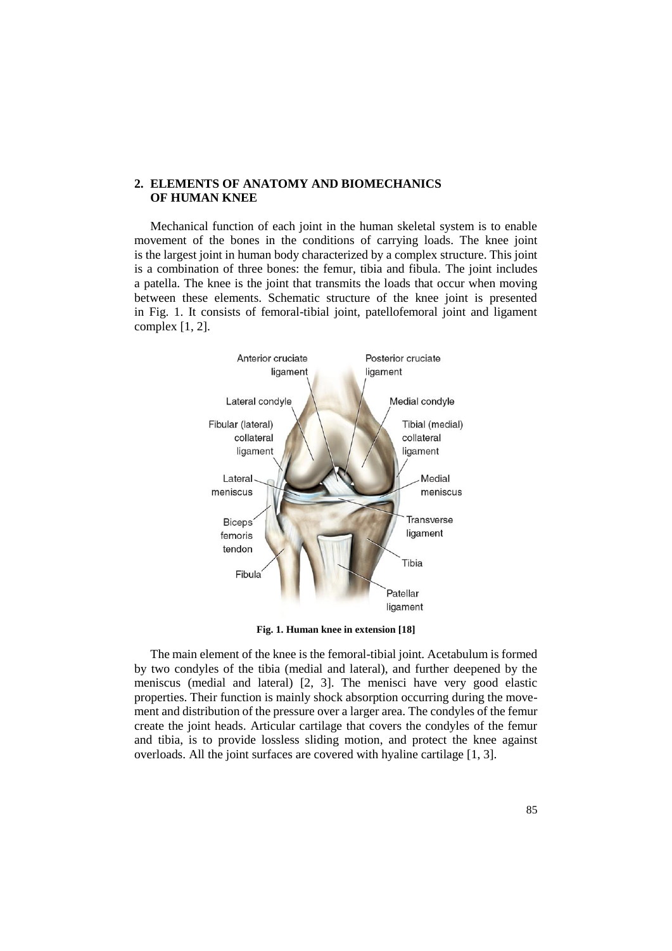# **2. ELEMENTS OF ANATOMY AND BIOMECHANICS OF HUMAN KNEE**

Mechanical function of each joint in the human skeletal system is to enable movement of the bones in the conditions of carrying loads. The knee joint is the largest joint in human body characterized by a complex structure. This joint is a combination of three bones: the femur, tibia and fibula. The joint includes a patella. The knee is the joint that transmits the loads that occur when moving between these elements. Schematic structure of the knee joint is presented in Fig. 1. It consists of femoral-tibial joint, patellofemoral joint and ligament complex [1, 2].



**Fig. 1. Human knee in extension [18]**

The main element of the knee is the femoral-tibial joint. Acetabulum is formed by two condyles of the tibia (medial and lateral), and further deepened by the meniscus (medial and lateral) [2, 3]. The menisci have very good elastic properties. Their function is mainly shock absorption occurring during the movement and distribution of the pressure over a larger area. The condyles of the femur create the joint heads. Articular cartilage that covers the condyles of the femur and tibia, is to provide lossless sliding motion, and protect the knee against overloads. All the joint surfaces are covered with hyaline cartilage [1, 3].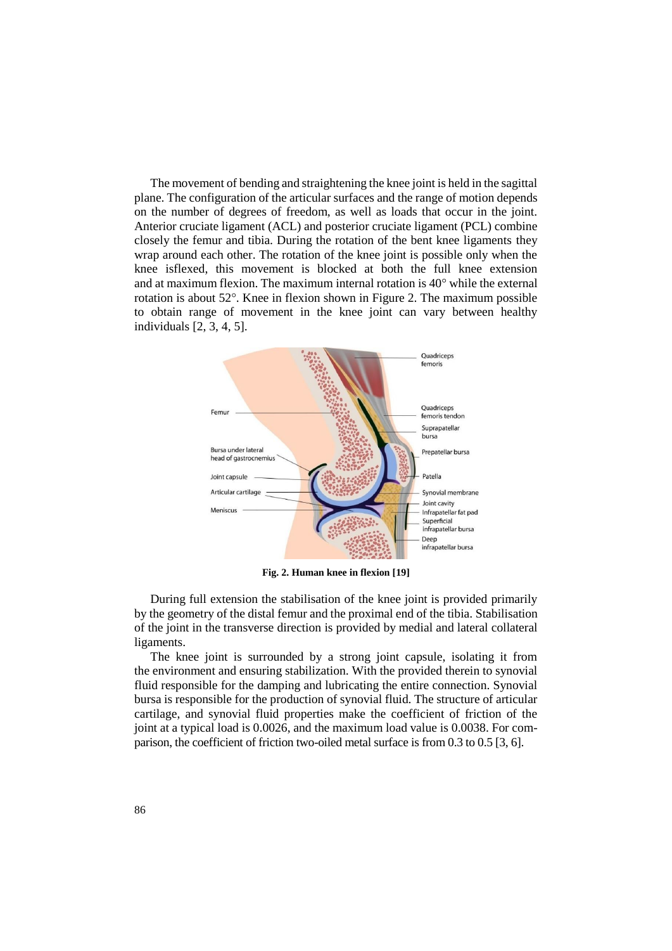The movement of bending and straightening the knee joint is held in the sagittal plane. The configuration of the articular surfaces and the range of motion depends on the number of degrees of freedom, as well as loads that occur in the joint. Anterior cruciate ligament (ACL) and posterior cruciate ligament (PCL) combine closely the femur and tibia. During the rotation of the bent knee ligaments they wrap around each other. The rotation of the knee joint is possible only when the knee isflexed, this movement is blocked at both the full knee extension and at maximum flexion. The maximum internal rotation is 40° while the external rotation is about  $52^{\circ}$ . Knee in flexion shown in Figure 2. The maximum possible to obtain range of movement in the knee joint can vary between healthy individuals [2, 3, 4, 5].



**Fig. 2. Human knee in flexion [19]**

During full extension the stabilisation of the knee joint is provided primarily by the geometry of the distal femur and the proximal end of the tibia. Stabilisation of the joint in the transverse direction is provided by medial and lateral collateral ligaments.

The knee joint is surrounded by a strong joint capsule, isolating it from the environment and ensuring stabilization. With the provided therein to synovial fluid responsible for the damping and lubricating the entire connection. Synovial bursa is responsible for the production of synovial fluid. The structure of articular cartilage, and synovial fluid properties make the coefficient of friction of the joint at a typical load is 0.0026, and the maximum load value is 0.0038. For comparison, the coefficient of friction two-oiled metal surface is from 0.3 to 0.5 [3, 6].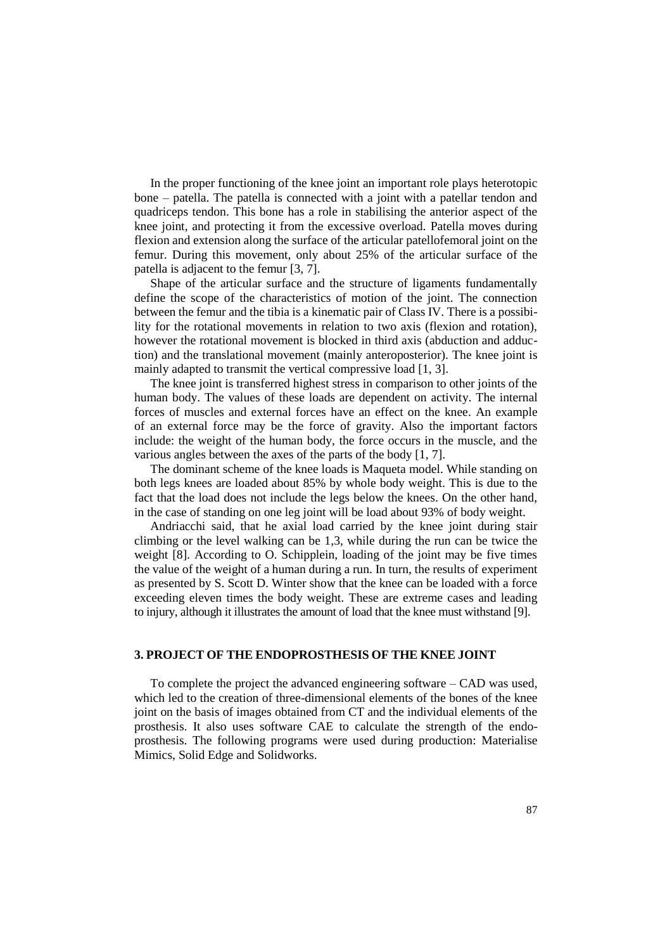In the proper functioning of the knee joint an important role plays heterotopic bone – patella. The patella is connected with a joint with a patellar tendon and quadriceps tendon. This bone has a role in stabilising the anterior aspect of the knee joint, and protecting it from the excessive overload. Patella moves during flexion and extension along the surface of the articular patellofemoral joint on the femur. During this movement, only about 25% of the articular surface of the patella is adjacent to the femur [3, 7].

Shape of the articular surface and the structure of ligaments fundamentally define the scope of the characteristics of motion of the joint. The connection between the femur and the tibia is a kinematic pair of Class IV. There is a possibility for the rotational movements in relation to two axis (flexion and rotation), however the rotational movement is blocked in third axis (abduction and adduction) and the translational movement (mainly anteroposterior). The knee joint is mainly adapted to transmit the vertical compressive load [1, 3].

The knee joint is transferred highest stress in comparison to other joints of the human body. The values of these loads are dependent on activity. The internal forces of muscles and external forces have an effect on the knee. An example of an external force may be the force of gravity. Also the important factors include: the weight of the human body, the force occurs in the muscle, and the various angles between the axes of the parts of the body [1, 7].

The dominant scheme of the knee loads is Maqueta model. While standing on both legs knees are loaded about 85% by whole body weight. This is due to the fact that the load does not include the legs below the knees. On the other hand, in the case of standing on one leg joint will be load about 93% of body weight.

Andriacchi said, that he axial load carried by the knee joint during stair climbing or the level walking can be 1,3, while during the run can be twice the weight [8]. According to O. Schipplein, loading of the joint may be five times the value of the weight of a human during a run. In turn, the results of experiment as presented by S. Scott D. Winter show that the knee can be loaded with a force exceeding eleven times the body weight. These are extreme cases and leading to injury, although it illustrates the amount of load that the knee must withstand [9].

### **3. PROJECT OF THE ENDOPROSTHESIS OF THE KNEE JOINT**

To complete the project the advanced engineering software – CAD was used, which led to the creation of three-dimensional elements of the bones of the knee joint on the basis of images obtained from CT and the individual elements of the prosthesis. It also uses software CAE to calculate the strength of the endoprosthesis. The following programs were used during production: Materialise Mimics, Solid Edge and Solidworks.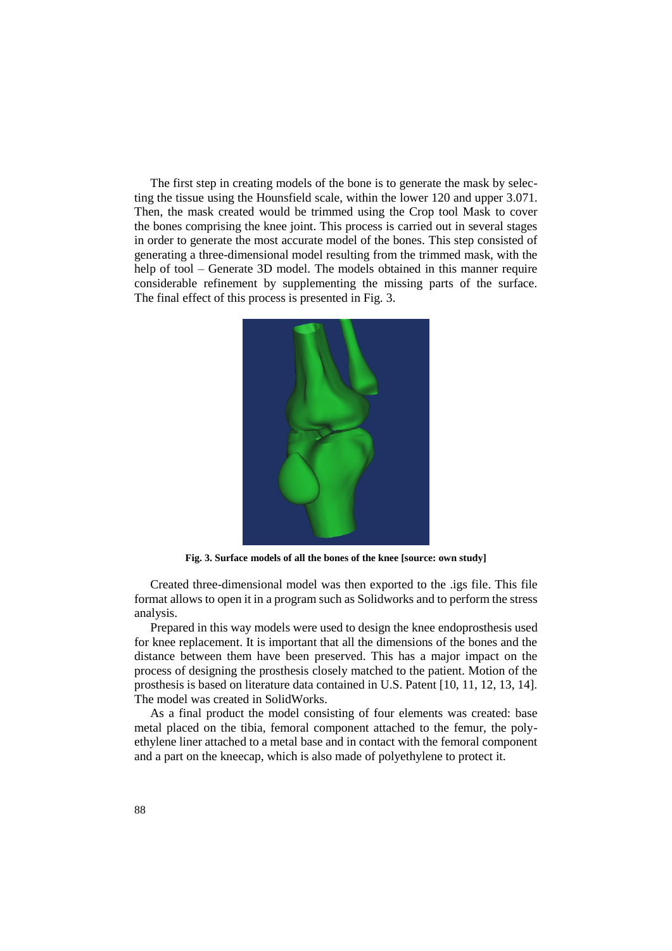The first step in creating models of the bone is to generate the mask by selecting the tissue using the Hounsfield scale, within the lower 120 and upper 3.071. Then, the mask created would be trimmed using the Crop tool Mask to cover the bones comprising the knee joint. This process is carried out in several stages in order to generate the most accurate model of the bones. This step consisted of generating a three-dimensional model resulting from the trimmed mask, with the help of tool – Generate 3D model. The models obtained in this manner require considerable refinement by supplementing the missing parts of the surface. The final effect of this process is presented in Fig. 3.



**Fig. 3. Surface models of all the bones of the knee [source: own study]**

Created three-dimensional model was then exported to the .igs file. This file format allows to open it in a program such as Solidworks and to perform the stress analysis.

Prepared in this way models were used to design the knee endoprosthesis used for knee replacement. It is important that all the dimensions of the bones and the distance between them have been preserved. This has a major impact on the process of designing the prosthesis closely matched to the patient. Motion of the prosthesis is based on literature data contained in U.S. Patent [10, 11, 12, 13, 14]. The model was created in SolidWorks.

As a final product the model consisting of four elements was created: base metal placed on the tibia, femoral component attached to the femur, the polyethylene liner attached to a metal base and in contact with the femoral component and a part on the kneecap, which is also made of polyethylene to protect it.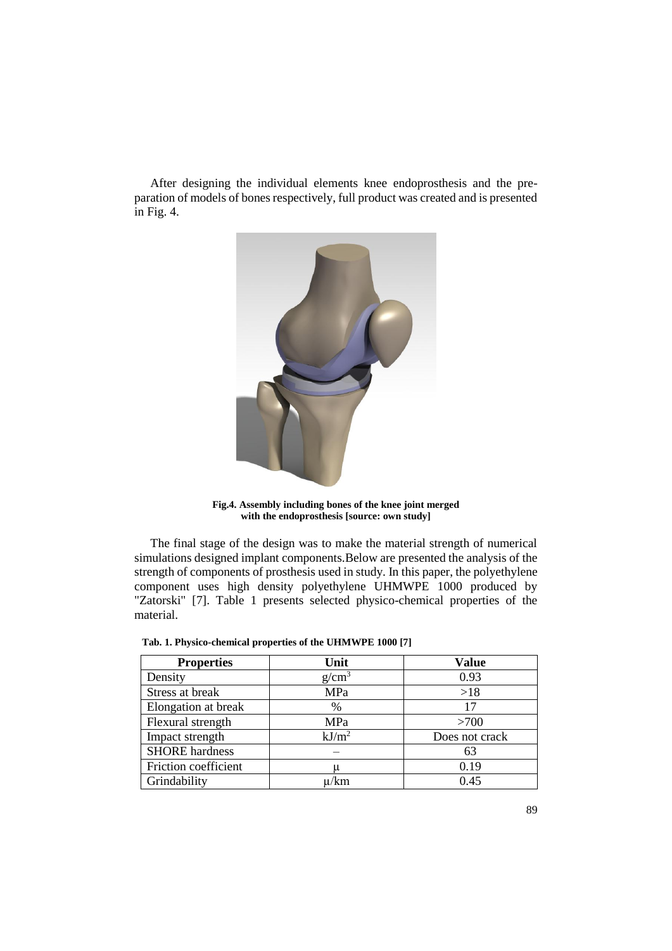After designing the individual elements knee endoprosthesis and the preparation of models of bones respectively, full product was created and is presented in Fig. 4.



**Fig.4. Assembly including bones of the knee joint merged with the endoprosthesis [source: own study]**

The final stage of the design was to make the material strength of numerical simulations designed implant components.Below are presented the analysis of the strength of components of prosthesis used in study. In this paper, the polyethylene component uses high density polyethylene UHMWPE 1000 produced by "Zatorski" [7]. Table 1 presents selected physico-chemical properties of the material.

| <b>Properties</b>     | Unit              | <b>Value</b>   |
|-----------------------|-------------------|----------------|
| Density               | $g/cm^3$          | 0.93           |
| Stress at break       | MPa               | >18            |
| Elongation at break   | $\%$              | 17             |
| Flexural strength     | MPa               | >700           |
| Impact strength       | kJ/m <sup>2</sup> | Does not crack |
| <b>SHORE</b> hardness |                   | 63             |
| Friction coefficient  |                   | 0.19           |
| Grindability          | µ/km              | 0.45           |

 **Tab. 1. Physico-chemical properties of the UHMWPE 1000 [7]**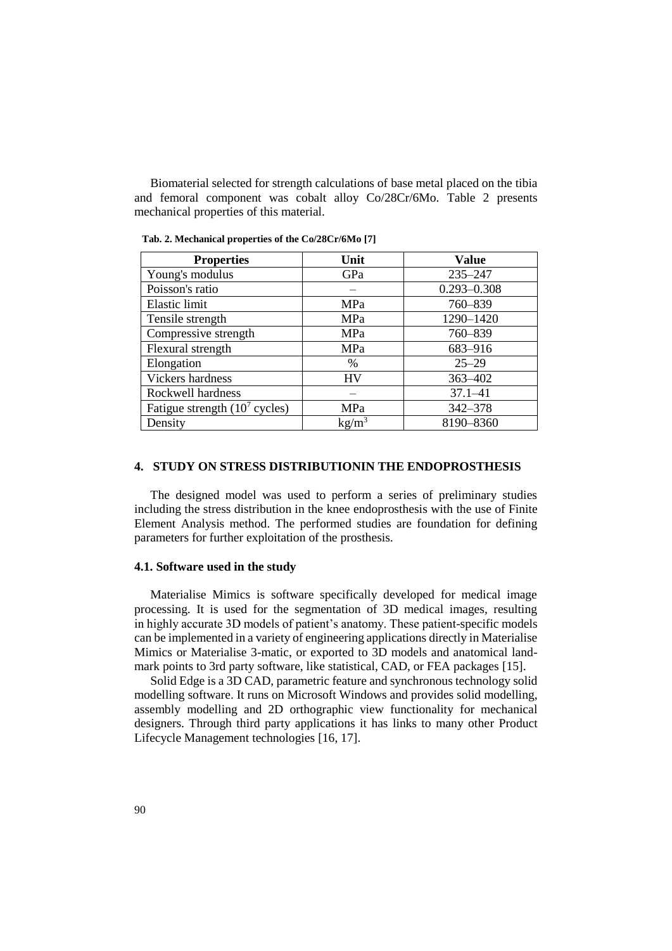Biomaterial selected for strength calculations of base metal placed on the tibia and femoral component was cobalt alloy Co/28Cr/6Mo. Table 2 presents mechanical properties of this material.

| <b>Properties</b>               | Unit              | <b>Value</b>    |
|---------------------------------|-------------------|-----------------|
| Young's modulus                 | GPa               | $235 - 247$     |
| Poisson's ratio                 |                   | $0.293 - 0.308$ |
| Elastic limit                   | MPa               | 760-839         |
| Tensile strength                | MPa               | 1290-1420       |
| Compressive strength            | MPa               | 760-839         |
| Flexural strength               | MPa               | 683-916         |
| Elongation                      | $\%$              | $25 - 29$       |
| Vickers hardness                | HV                | 363-402         |
| Rockwell hardness               |                   | $37.1 - 41$     |
| Fatigue strength $(107$ cycles) | MPa               | 342-378         |
| Density                         | kg/m <sup>3</sup> | 8190-8360       |

 **Tab. 2. Mechanical properties of the Co/28Cr/6Mo [7]**

## **4. STUDY ON STRESS DISTRIBUTIONIN THE ENDOPROSTHESIS**

The designed model was used to perform a series of preliminary studies including the stress distribution in the knee endoprosthesis with the use of Finite Element Analysis method. The performed studies are foundation for defining parameters for further exploitation of the prosthesis.

#### **4.1. Software used in the study**

Materialise Mimics is software specifically developed for medical image processing. It is used for the segmentation of 3D medical images, resulting in highly accurate 3D models of patient's anatomy. These patient-specific models can be implemented in a variety of engineering applications directly in Materialise Mimics or Materialise 3-matic, or exported to 3D models and anatomical landmark points to 3rd party software, like statistical, CAD, or FEA packages [15].

Solid Edge is a 3D CAD, parametric feature and synchronous technology solid modelling software. It runs on Microsoft Windows and provides solid modelling, assembly modelling and 2D orthographic view functionality for mechanical designers. Through third party applications it has links to many other Product Lifecycle Management technologies [16, 17].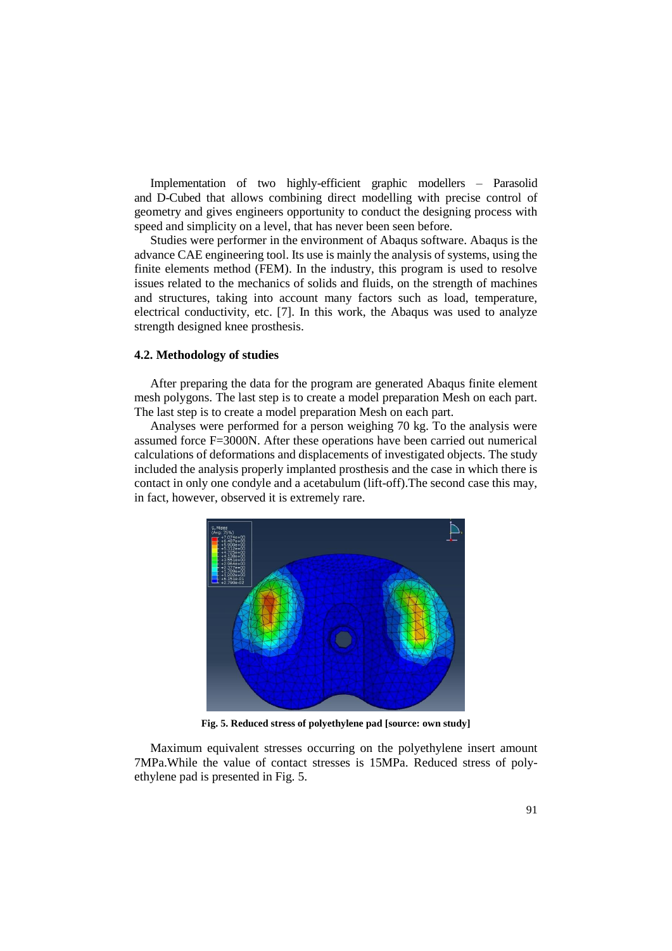Implementation of two highly-efficient graphic modellers – Parasolid and D-Cubed that allows combining direct modelling with precise control of geometry and gives engineers opportunity to conduct the designing process with speed and simplicity on a level, that has never been seen before.

Studies were performer in the environment of Abaqus software. Abaqus is the advance CAE engineering tool. Its use is mainly the analysis of systems, using the finite elements method (FEM). In the industry, this program is used to resolve issues related to the mechanics of solids and fluids, on the strength of machines and structures, taking into account many factors such as load, temperature, electrical conductivity, etc. [7]. In this work, the Abaqus was used to analyze strength designed knee prosthesis.

# **4.2. Methodology of studies**

After preparing the data for the program are generated Abaqus finite element mesh polygons. The last step is to create a model preparation Mesh on each part. The last step is to create a model preparation Mesh on each part.

Analyses were performed for a person weighing 70 kg. To the analysis were assumed force F=3000N. After these operations have been carried out numerical calculations of deformations and displacements of investigated objects. The study included the analysis properly implanted prosthesis and the case in which there is contact in only one condyle and a acetabulum (lift-off).The second case this may, in fact, however, observed it is extremely rare.



**Fig. 5. Reduced stress of polyethylene pad [source: own study]**

Maximum equivalent stresses occurring on the polyethylene insert amount 7MPa.While the value of contact stresses is 15MPa. Reduced stress of polyethylene pad is presented in Fig. 5.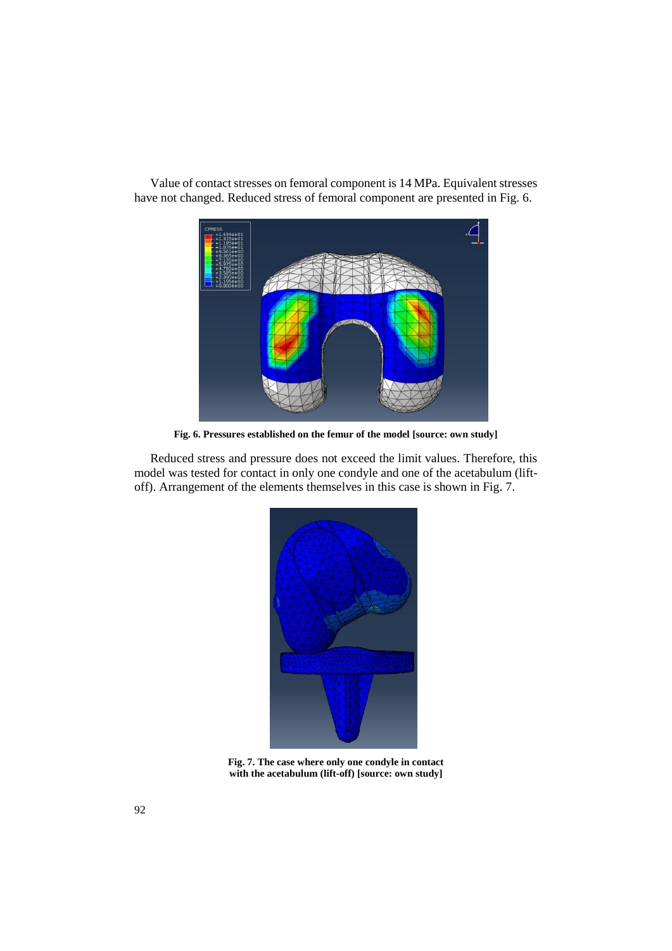

Value of contact stresses on femoral component is 14 MPa. Equivalent stresses have not changed. Reduced stress of femoral component are presented in Fig. 6.

**Fig. 6. Pressures established on the femur of the model [source: own study]**

Reduced stress and pressure does not exceed the limit values. Therefore, this model was tested for contact in only one condyle and one of the acetabulum (liftoff). Arrangement of the elements themselves in this case is shown in Fig. 7.



**Fig. 7. The case where only one condyle in contact with the acetabulum (lift-off) [source: own study]**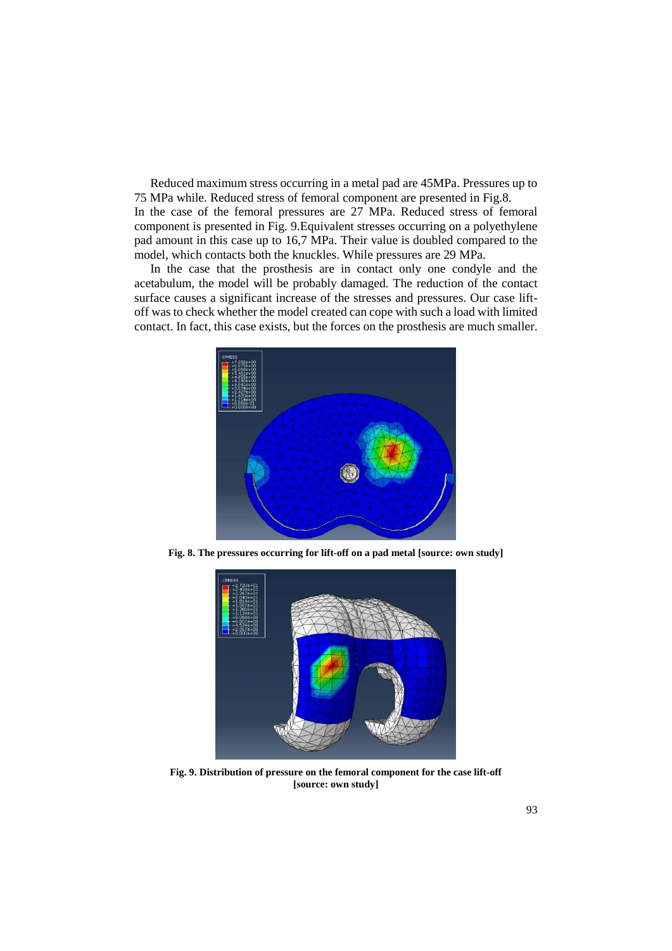Reduced maximum stress occurring in a metal pad are 45MPa. Pressures up to 75 MPa while. Reduced stress of femoral component are presented in Fig.8. In the case of the femoral pressures are 27 MPa. Reduced stress of femoral component is presented in Fig. 9.Equivalent stresses occurring on a polyethylene pad amount in this case up to 16,7 MPa. Their value is doubled compared to the model, which contacts both the knuckles. While pressures are 29 MPa.

In the case that the prosthesis are in contact only one condyle and the acetabulum, the model will be probably damaged. The reduction of the contact surface causes a significant increase of the stresses and pressures. Our case liftoff was to check whether the model created can cope with such a load with limited contact. In fact, this case exists, but the forces on the prosthesis are much smaller.



**Fig. 8. The pressures occurring for lift-off on a pad metal [source: own study]**



**Fig. 9. Distribution of pressure on the femoral component for the case lift-off [source: own study]**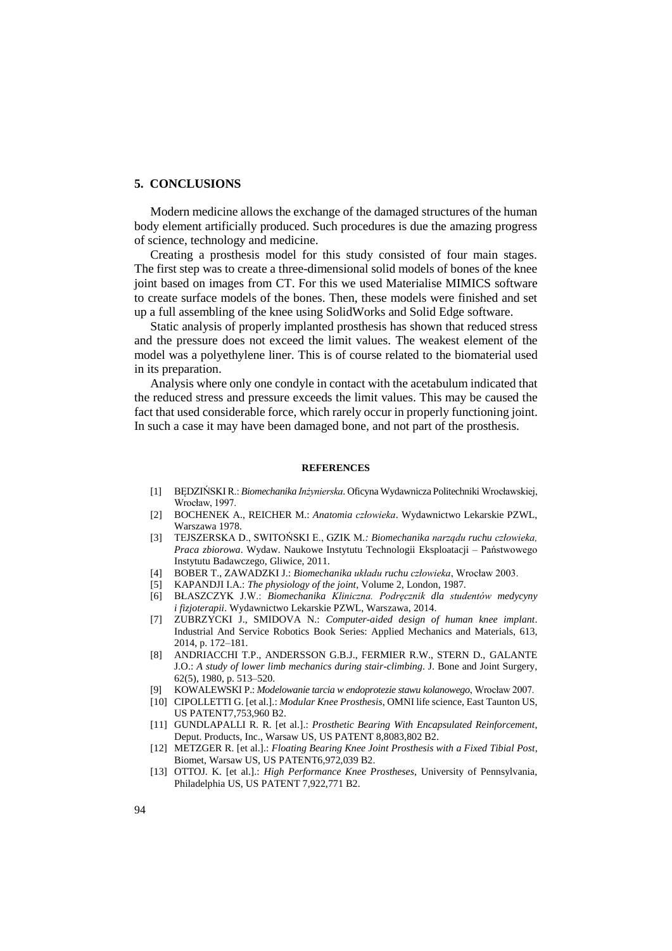### **5. CONCLUSIONS**

Modern medicine allows the exchange of the damaged structures of the human body element artificially produced. Such procedures is due the amazing progress of science, technology and medicine.

Creating a prosthesis model for this study consisted of four main stages. The first step was to create a three-dimensional solid models of bones of the knee joint based on images from CT. For this we used Materialise MIMICS software to create surface models of the bones. Then, these models were finished and set up a full assembling of the knee using SolidWorks and Solid Edge software.

Static analysis of properly implanted prosthesis has shown that reduced stress and the pressure does not exceed the limit values. The weakest element of the model was a polyethylene liner. This is of course related to the biomaterial used in its preparation.

Analysis where only one condyle in contact with the acetabulum indicated that the reduced stress and pressure exceeds the limit values. This may be caused the fact that used considerable force, which rarely occur in properly functioning joint. In such a case it may have been damaged bone, and not part of the prosthesis.

#### **REFERENCES**

- [1] BĘDZIŃSKI R.: *Biomechanika Inżynierska*. Oficyna Wydawnicza Politechniki Wrocławskiej, Wrocław, 1997.
- [2] BOCHENEK A., REICHER M.: *Anatomia człowieka*. Wydawnictwo Lekarskie PZWL, Warszawa 1978.
- [3] TEJSZERSKA D., SWITOŃSKI E., GZIK M*.: Biomechanika narządu ruchu człowieka, Praca zbiorowa*. Wydaw. Naukowe Instytutu Technologii Eksploatacji – Państwowego Instytutu Badawczego, Gliwice, 2011.
- [4] BOBER T., ZAWADZKI J.: *Biomechanika układu ruchu człowieka*, Wrocław 2003.
- [5] KAPANDJI I.A.: *The physiology of the joint*, Volume 2, London, 1987.
- [6] BŁASZCZYK J.W.: *Biomechanika Kliniczna. Podręcznik dla studentów medycyny i fizjoterapii*. Wydawnictwo Lekarskie PZWL, Warszawa, 2014.
- [7] ZUBRZYCKI J., SMIDOVA N.: *Computer-aided design of human knee implant*. Industrial And Service Robotics Book Series: Applied Mechanics and Materials, 613, 2014, p. 172–181.
- [8] ANDRIACCHI T.P., ANDERSSON G.B.J., FERMIER R.W., STERN D., GALANTE J.O.: *A study of lower limb mechanics during stair-climbing*. J. Bone and Joint Surgery, 62(5), 1980, p. 513–520.
- [9] KOWALEWSKI P.: *Modelowanie tarcia w endoprotezie stawu kolanowego*, Wrocław 2007.
- [10] CIPOLLETTI G. [et al.].: *Modular Knee Prosthesis*, OMNI life science, East Taunton US, US PATENT7,753,960 B2.
- [11] GUNDLAPALLI R. R. [et al.].: *Prosthetic Bearing With Encapsulated Reinforcement*, Deput. Products, Inc., Warsaw US, US PATENT 8,8083,802 B2.
- [12] METZGER R. [et al.].: *Floating Bearing Knee Joint Prosthesis with a Fixed Tibial Post*, Biomet, Warsaw US, US PATENT6,972,039 B2.
- [13] OTTOJ. K. [et al.].: *High Performance Knee Prostheses*, University of Pennsylvania, Philadelphia US, US PATENT 7,922,771 B2.